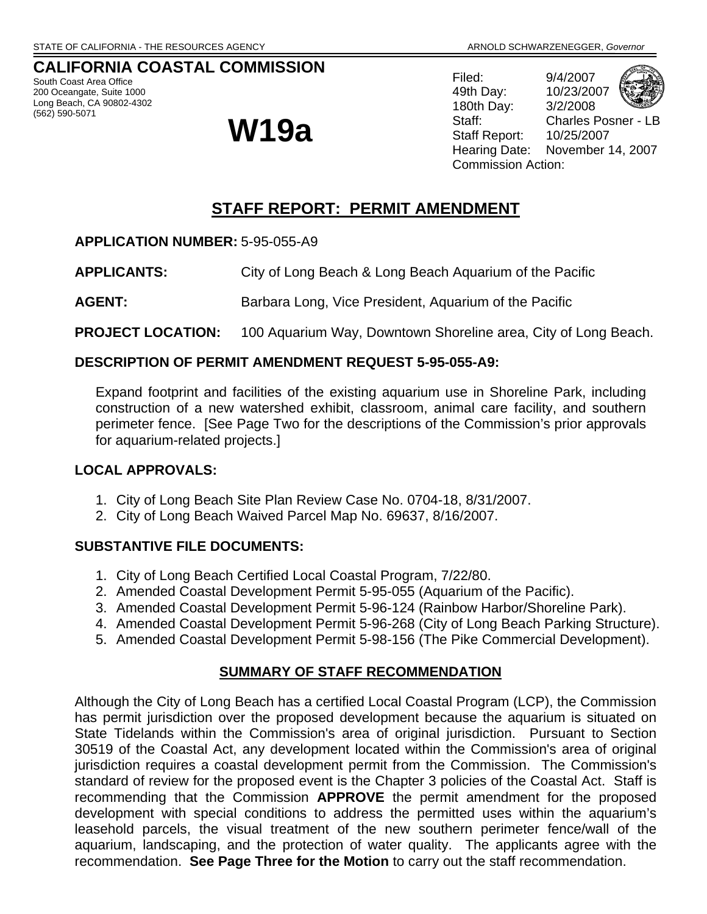# **CALIFORNIA COASTAL COMMISSION**

South Coast Area Office 200 Oceangate, Suite 1000 Long Beach, CA 90802-4302 (562) 590-5071

# **W19a**

Filed: 9/4/2007 49th Day: 10/23/2007 180th Day: 3/2/2008 Staff: Charles Posner - LB Staff Report: 10/25/2007 Hearing Date: November 14, 2007 Commission Action:

# **STAFF REPORT: PERMIT AMENDMENT**

**APPLICATION NUMBER:** 5-95-055-A9

**APPLICANTS:** City of Long Beach & Long Beach Aquarium of the Pacific

**AGENT:** Barbara Long, Vice President, Aquarium of the Pacific

**PROJECT LOCATION:** 100 Aquarium Way, Downtown Shoreline area, City of Long Beach.

# **DESCRIPTION OF PERMIT AMENDMENT REQUEST 5-95-055-A9:**

Expand footprint and facilities of the existing aquarium use in Shoreline Park, including construction of a new watershed exhibit, classroom, animal care facility, and southern perimeter fence. [See Page Two for the descriptions of the Commission's prior approvals for aquarium-related projects.]

### **LOCAL APPROVALS:**

- 1. City of Long Beach Site Plan Review Case No. 0704-18, 8/31/2007.
- 2. City of Long Beach Waived Parcel Map No. 69637, 8/16/2007.

### **SUBSTANTIVE FILE DOCUMENTS:**

- 1. City of Long Beach Certified Local Coastal Program, 7/22/80.
- 2. Amended Coastal Development Permit 5-95-055 (Aquarium of the Pacific).
- 3. Amended Coastal Development Permit 5-96-124 (Rainbow Harbor/Shoreline Park).
- 4. Amended Coastal Development Permit 5-96-268 (City of Long Beach Parking Structure).
- 5. Amended Coastal Development Permit 5-98-156 (The Pike Commercial Development).

# **SUMMARY OF STAFF RECOMMENDATION**

Although the City of Long Beach has a certified Local Coastal Program (LCP), the Commission has permit jurisdiction over the proposed development because the aquarium is situated on State Tidelands within the Commission's area of original jurisdiction. Pursuant to Section 30519 of the Coastal Act, any development located within the Commission's area of original jurisdiction requires a coastal development permit from the Commission. The Commission's standard of review for the proposed event is the Chapter 3 policies of the Coastal Act. Staff is recommending that the Commission **APPROVE** the permit amendment for the proposed development with special conditions to address the permitted uses within the aquarium's leasehold parcels, the visual treatment of the new southern perimeter fence/wall of the aquarium, landscaping, and the protection of water quality. The applicants agree with the recommendation. **See Page Three for the Motion** to carry out the staff recommendation.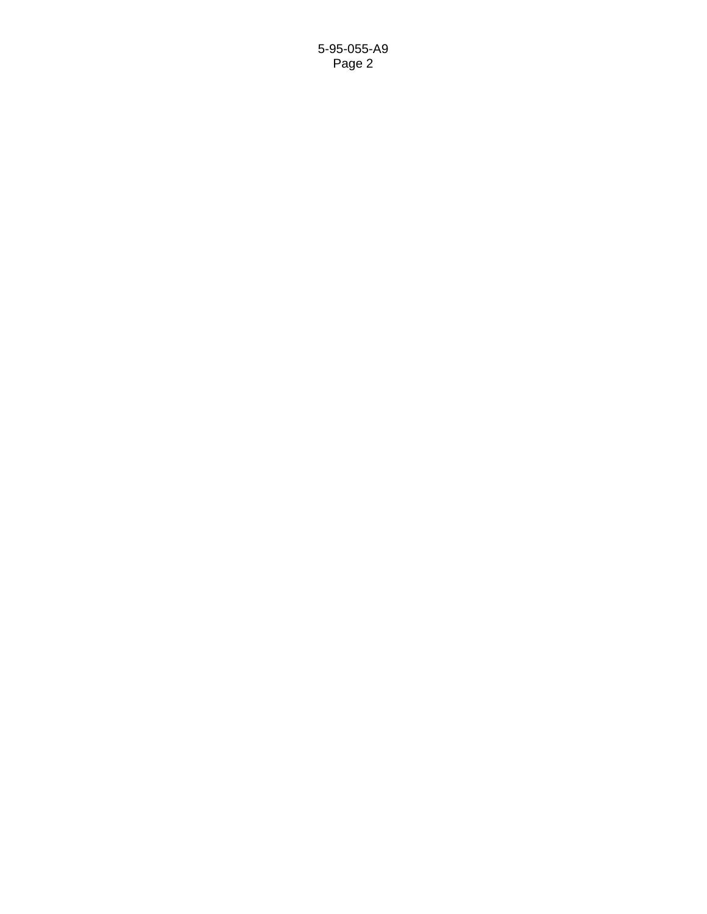5-95-055-A9 Page 2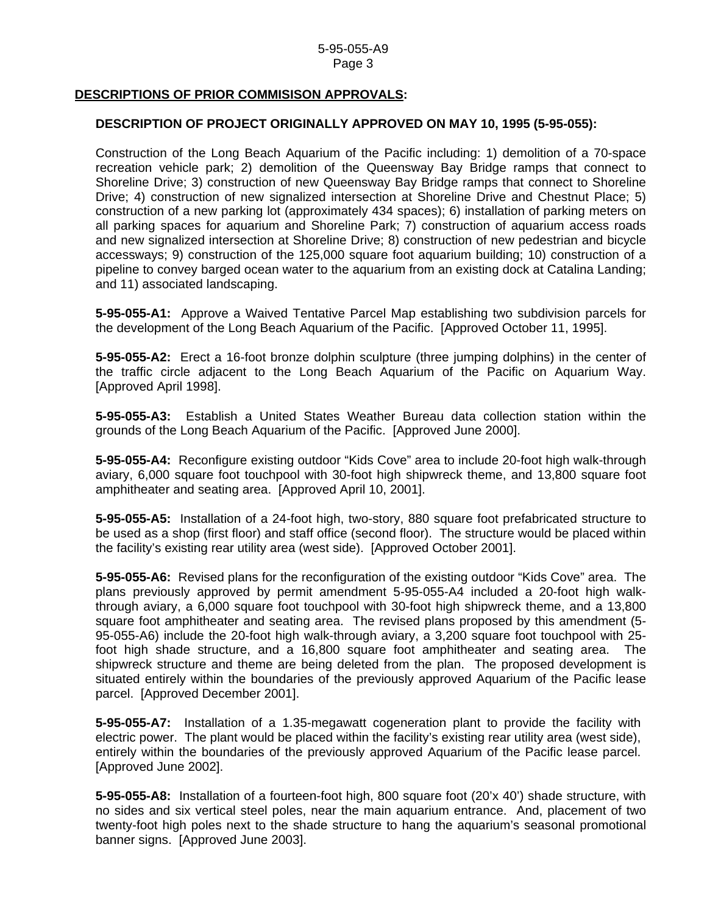#### 5-95-055-A9 Page 3

#### **DESCRIPTIONS OF PRIOR COMMISISON APPROVALS:**

#### **DESCRIPTION OF PROJECT ORIGINALLY APPROVED ON MAY 10, 1995 (5-95-055):**

 Construction of the Long Beach Aquarium of the Pacific including: 1) demolition of a 70-space recreation vehicle park; 2) demolition of the Queensway Bay Bridge ramps that connect to Shoreline Drive; 3) construction of new Queensway Bay Bridge ramps that connect to Shoreline Drive; 4) construction of new signalized intersection at Shoreline Drive and Chestnut Place; 5) construction of a new parking lot (approximately 434 spaces); 6) installation of parking meters on all parking spaces for aquarium and Shoreline Park; 7) construction of aquarium access roads and new signalized intersection at Shoreline Drive; 8) construction of new pedestrian and bicycle accessways; 9) construction of the 125,000 square foot aquarium building; 10) construction of a pipeline to convey barged ocean water to the aquarium from an existing dock at Catalina Landing; and 11) associated landscaping.

**5-95-055-A1:** Approve a Waived Tentative Parcel Map establishing two subdivision parcels for the development of the Long Beach Aquarium of the Pacific. [Approved October 11, 1995].

**5-95-055-A2:** Erect a 16-foot bronze dolphin sculpture (three jumping dolphins) in the center of the traffic circle adjacent to the Long Beach Aquarium of the Pacific on Aquarium Way. [Approved April 1998].

**5-95-055-A3:** Establish a United States Weather Bureau data collection station within the grounds of the Long Beach Aquarium of the Pacific. [Approved June 2000].

 **5-95-055-A4:** Reconfigure existing outdoor "Kids Cove" area to include 20-foot high walk-through aviary, 6,000 square foot touchpool with 30-foot high shipwreck theme, and 13,800 square foot amphitheater and seating area. [Approved April 10, 2001].

 **5-95-055-A5:** Installation of a 24-foot high, two-story, 880 square foot prefabricated structure to be used as a shop (first floor) and staff office (second floor). The structure would be placed within the facility's existing rear utility area (west side). [Approved October 2001].

 **5-95-055-A6:** Revised plans for the reconfiguration of the existing outdoor "Kids Cove" area. The plans previously approved by permit amendment 5-95-055-A4 included a 20-foot high walkthrough aviary, a 6,000 square foot touchpool with 30-foot high shipwreck theme, and a 13,800 square foot amphitheater and seating area. The revised plans proposed by this amendment (5- 95-055-A6) include the 20-foot high walk-through aviary, a 3,200 square foot touchpool with 25 foot high shade structure, and a 16,800 square foot amphitheater and seating area. The shipwreck structure and theme are being deleted from the plan. The proposed development is situated entirely within the boundaries of the previously approved Aquarium of the Pacific lease parcel. [Approved December 2001].

 **5-95-055-A7:** Installation of a 1.35-megawatt cogeneration plant to provide the facility with electric power. The plant would be placed within the facility's existing rear utility area (west side), entirely within the boundaries of the previously approved Aquarium of the Pacific lease parcel. [Approved June 2002].

 **5-95-055-A8:** Installation of a fourteen-foot high, 800 square foot (20'x 40') shade structure, with no sides and six vertical steel poles, near the main aquarium entrance. And, placement of two twenty-foot high poles next to the shade structure to hang the aquarium's seasonal promotional banner signs. [Approved June 2003].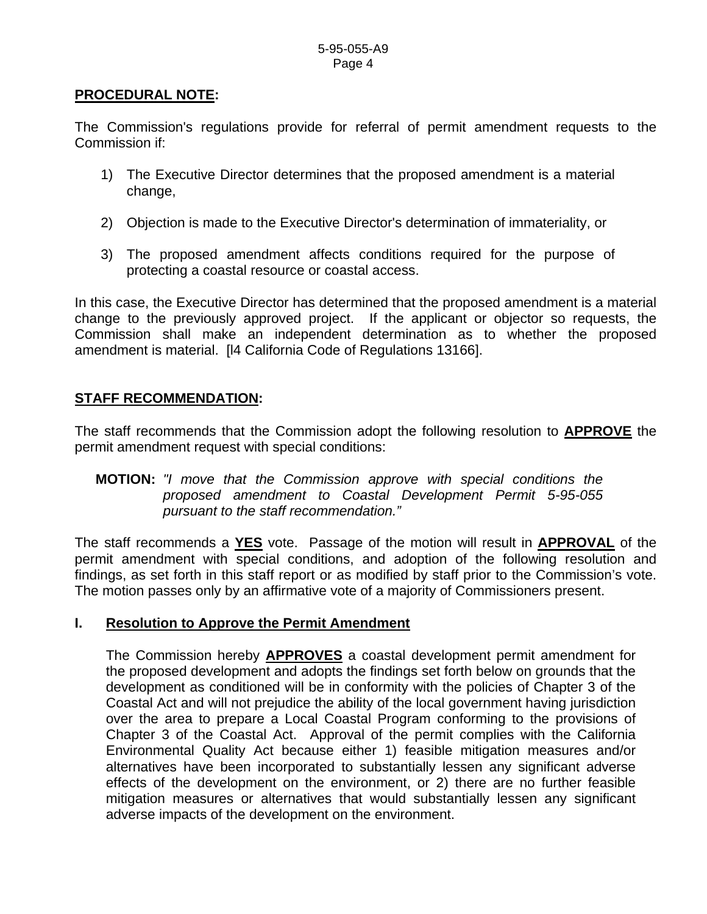## **PROCEDURAL NOTE:**

The Commission's regulations provide for referral of permit amendment requests to the Commission if:

- 1) The Executive Director determines that the proposed amendment is a material change,
- 2) Objection is made to the Executive Director's determination of immateriality, or
- 3) The proposed amendment affects conditions required for the purpose of protecting a coastal resource or coastal access.

In this case, the Executive Director has determined that the proposed amendment is a material change to the previously approved project. If the applicant or objector so requests, the Commission shall make an independent determination as to whether the proposed amendment is material. [l4 California Code of Regulations 13166].

# **STAFF RECOMMENDATION:**

The staff recommends that the Commission adopt the following resolution to **APPROVE** the permit amendment request with special conditions:

 **MOTION:** *"I move that the Commission approve with special conditions the proposed amendment to Coastal Development Permit 5-95-055 pursuant to the staff recommendation."* 

The staff recommends a **YES** vote. Passage of the motion will result in **APPROVAL** of the permit amendment with special conditions, and adoption of the following resolution and findings, as set forth in this staff report or as modified by staff prior to the Commission's vote. The motion passes only by an affirmative vote of a majority of Commissioners present.

### **I. Resolution to Approve the Permit Amendment**

 The Commission hereby **APPROVES** a coastal development permit amendment for the proposed development and adopts the findings set forth below on grounds that the development as conditioned will be in conformity with the policies of Chapter 3 of the Coastal Act and will not prejudice the ability of the local government having jurisdiction over the area to prepare a Local Coastal Program conforming to the provisions of Chapter 3 of the Coastal Act. Approval of the permit complies with the California Environmental Quality Act because either 1) feasible mitigation measures and/or alternatives have been incorporated to substantially lessen any significant adverse effects of the development on the environment, or 2) there are no further feasible mitigation measures or alternatives that would substantially lessen any significant adverse impacts of the development on the environment.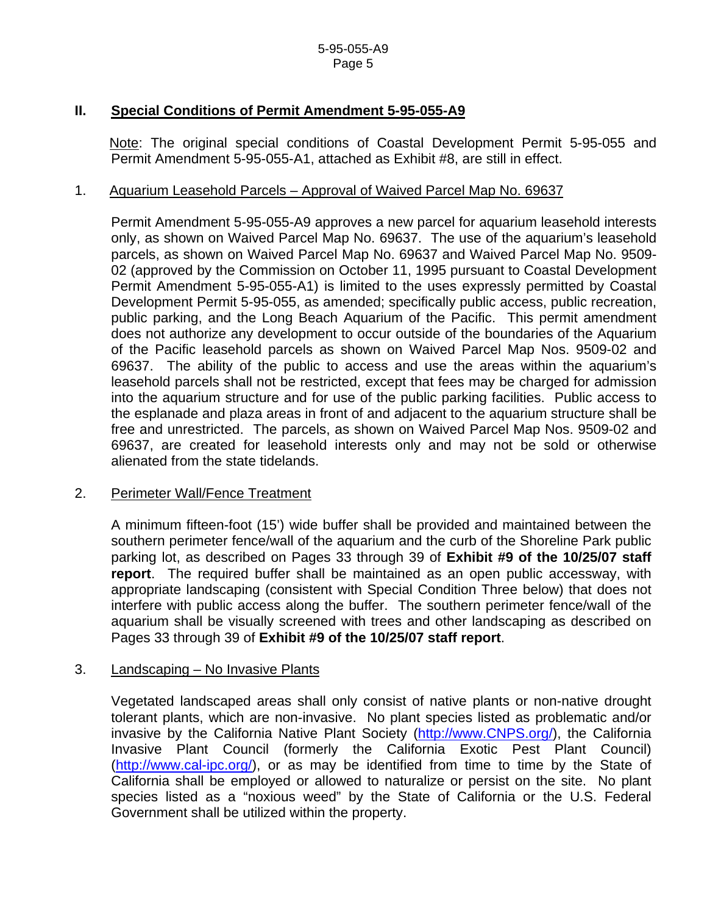## **II. Special Conditions of Permit Amendment 5-95-055-A9**

Note: The original special conditions of Coastal Development Permit 5-95-055 and Permit Amendment 5-95-055-A1, attached as Exhibit #8, are still in effect.

#### 1. Aquarium Leasehold Parcels – Approval of Waived Parcel Map No. 69637

Permit Amendment 5-95-055-A9 approves a new parcel for aquarium leasehold interests only, as shown on Waived Parcel Map No. 69637. The use of the aquarium's leasehold parcels, as shown on Waived Parcel Map No. 69637 and Waived Parcel Map No. 9509- 02 (approved by the Commission on October 11, 1995 pursuant to Coastal Development Permit Amendment 5-95-055-A1) is limited to the uses expressly permitted by Coastal Development Permit 5-95-055, as amended; specifically public access, public recreation, public parking, and the Long Beach Aquarium of the Pacific. This permit amendment does not authorize any development to occur outside of the boundaries of the Aquarium of the Pacific leasehold parcels as shown on Waived Parcel Map Nos. 9509-02 and 69637. The ability of the public to access and use the areas within the aquarium's leasehold parcels shall not be restricted, except that fees may be charged for admission into the aquarium structure and for use of the public parking facilities. Public access to the esplanade and plaza areas in front of and adjacent to the aquarium structure shall be free and unrestricted. The parcels, as shown on Waived Parcel Map Nos. 9509-02 and 69637, are created for leasehold interests only and may not be sold or otherwise alienated from the state tidelands.

### 2. Perimeter Wall/Fence Treatment

A minimum fifteen-foot (15') wide buffer shall be provided and maintained between the southern perimeter fence/wall of the aquarium and the curb of the Shoreline Park public parking lot, as described on Pages 33 through 39 of **Exhibit #9 of the 10/25/07 staff report**. The required buffer shall be maintained as an open public accessway, with appropriate landscaping (consistent with Special Condition Three below) that does not interfere with public access along the buffer. The southern perimeter fence/wall of the aquarium shall be visually screened with trees and other landscaping as described on Pages 33 through 39 of **Exhibit #9 of the 10/25/07 staff report**.

### 3. Landscaping – No Invasive Plants

Vegetated landscaped areas shall only consist of native plants or non-native drought tolerant plants, which are non-invasive. No plant species listed as problematic and/or invasive by the California Native Plant Society [\(http://www.CNPS.org/\)](http://www.cnps.org/), the California Invasive Plant Council (formerly the California Exotic Pest Plant Council) [\(http://www.cal-ipc.org/](http://www.cal-ipc.org/)), or as may be identified from time to time by the State of California shall be employed or allowed to naturalize or persist on the site. No plant species listed as a "noxious weed" by the State of California or the U.S. Federal Government shall be utilized within the property.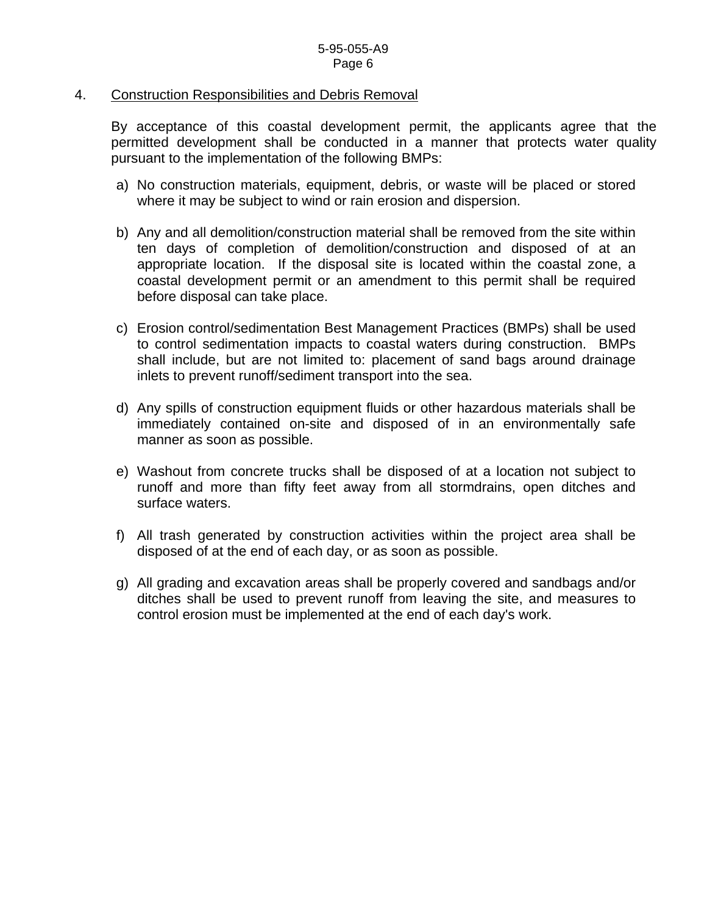4. Construction Responsibilities and Debris Removal

By acceptance of this coastal development permit, the applicants agree that the permitted development shall be conducted in a manner that protects water quality pursuant to the implementation of the following BMPs:

- a) No construction materials, equipment, debris, or waste will be placed or stored where it may be subject to wind or rain erosion and dispersion.
- b) Any and all demolition/construction material shall be removed from the site within ten days of completion of demolition/construction and disposed of at an appropriate location. If the disposal site is located within the coastal zone, a coastal development permit or an amendment to this permit shall be required before disposal can take place.
- c) Erosion control/sedimentation Best Management Practices (BMPs) shall be used to control sedimentation impacts to coastal waters during construction. BMPs shall include, but are not limited to: placement of sand bags around drainage inlets to prevent runoff/sediment transport into the sea.
- d) Any spills of construction equipment fluids or other hazardous materials shall be immediately contained on-site and disposed of in an environmentally safe manner as soon as possible.
- e) Washout from concrete trucks shall be disposed of at a location not subject to runoff and more than fifty feet away from all stormdrains, open ditches and surface waters.
- f) All trash generated by construction activities within the project area shall be disposed of at the end of each day, or as soon as possible.
- g) All grading and excavation areas shall be properly covered and sandbags and/or ditches shall be used to prevent runoff from leaving the site, and measures to control erosion must be implemented at the end of each day's work.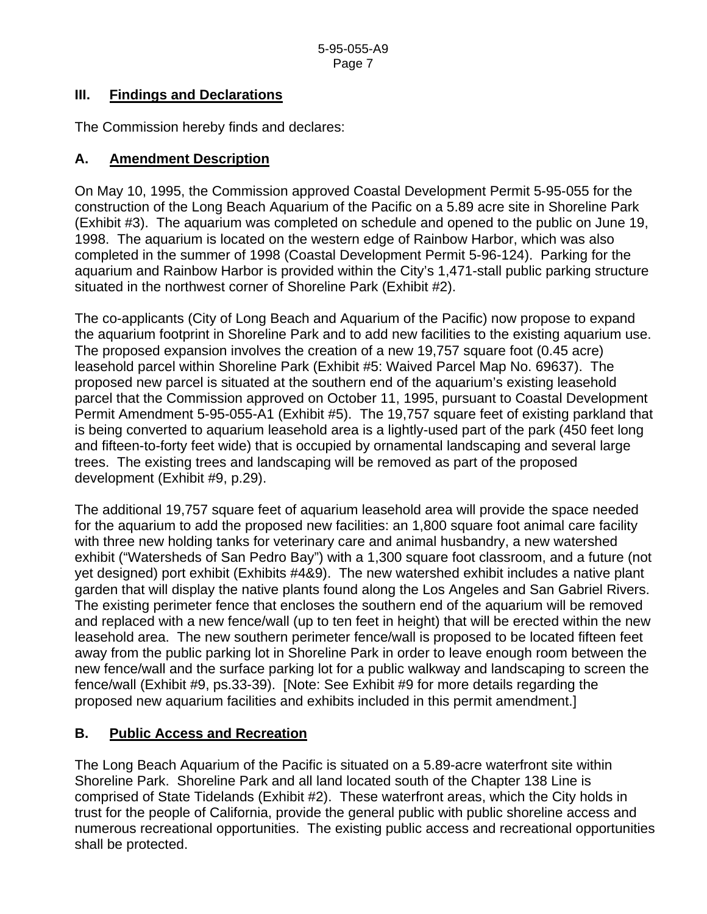# **III. Findings and Declarations**

The Commission hereby finds and declares:

# **A. Amendment Description**

On May 10, 1995, the Commission approved Coastal Development Permit 5-95-055 for the construction of the Long Beach Aquarium of the Pacific on a 5.89 acre site in Shoreline Park (Exhibit #3). The aquarium was completed on schedule and opened to the public on June 19, 1998. The aquarium is located on the western edge of Rainbow Harbor, which was also completed in the summer of 1998 (Coastal Development Permit 5-96-124). Parking for the aquarium and Rainbow Harbor is provided within the City's 1,471-stall public parking structure situated in the northwest corner of Shoreline Park (Exhibit #2).

The co-applicants (City of Long Beach and Aquarium of the Pacific) now propose to expand the aquarium footprint in Shoreline Park and to add new facilities to the existing aquarium use. The proposed expansion involves the creation of a new 19,757 square foot (0.45 acre) leasehold parcel within Shoreline Park (Exhibit #5: Waived Parcel Map No. 69637). The proposed new parcel is situated at the southern end of the aquarium's existing leasehold parcel that the Commission approved on October 11, 1995, pursuant to Coastal Development Permit Amendment 5-95-055-A1 (Exhibit #5). The 19,757 square feet of existing parkland that is being converted to aquarium leasehold area is a lightly-used part of the park (450 feet long and fifteen-to-forty feet wide) that is occupied by ornamental landscaping and several large trees. The existing trees and landscaping will be removed as part of the proposed development (Exhibit #9, p.29).

The additional 19,757 square feet of aquarium leasehold area will provide the space needed for the aquarium to add the proposed new facilities: an 1,800 square foot animal care facility with three new holding tanks for veterinary care and animal husbandry, a new watershed exhibit ("Watersheds of San Pedro Bay") with a 1,300 square foot classroom, and a future (not yet designed) port exhibit (Exhibits #4&9). The new watershed exhibit includes a native plant garden that will display the native plants found along the Los Angeles and San Gabriel Rivers. The existing perimeter fence that encloses the southern end of the aquarium will be removed and replaced with a new fence/wall (up to ten feet in height) that will be erected within the new leasehold area. The new southern perimeter fence/wall is proposed to be located fifteen feet away from the public parking lot in Shoreline Park in order to leave enough room between the new fence/wall and the surface parking lot for a public walkway and landscaping to screen the fence/wall (Exhibit #9, ps.33-39). [Note: See Exhibit #9 for more details regarding the proposed new aquarium facilities and exhibits included in this permit amendment.]

# **B. Public Access and Recreation**

The Long Beach Aquarium of the Pacific is situated on a 5.89-acre waterfront site within Shoreline Park. Shoreline Park and all land located south of the Chapter 138 Line is comprised of State Tidelands (Exhibit #2). These waterfront areas, which the City holds in trust for the people of California, provide the general public with public shoreline access and numerous recreational opportunities. The existing public access and recreational opportunities shall be protected.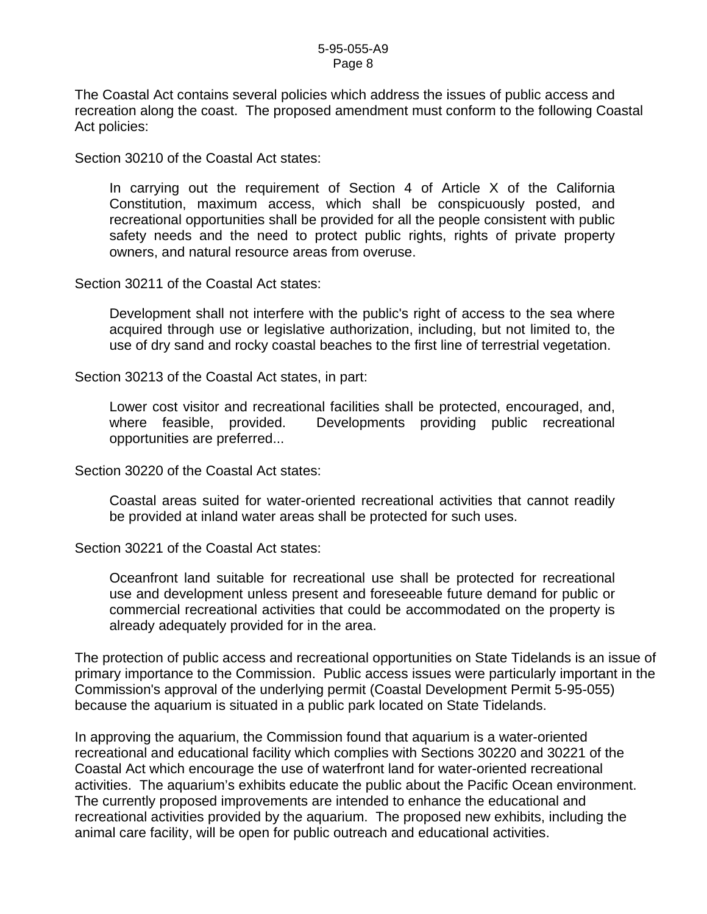#### 5-95-055-A9 Page 8

The Coastal Act contains several policies which address the issues of public access and recreation along the coast. The proposed amendment must conform to the following Coastal Act policies:

Section 30210 of the Coastal Act states:

 In carrying out the requirement of Section 4 of Article X of the California Constitution, maximum access, which shall be conspicuously posted, and recreational opportunities shall be provided for all the people consistent with public safety needs and the need to protect public rights, rights of private property owners, and natural resource areas from overuse.

Section 30211 of the Coastal Act states:

 Development shall not interfere with the public's right of access to the sea where acquired through use or legislative authorization, including, but not limited to, the use of dry sand and rocky coastal beaches to the first line of terrestrial vegetation.

Section 30213 of the Coastal Act states, in part:

 Lower cost visitor and recreational facilities shall be protected, encouraged, and, where feasible, provided. Developments providing public recreational opportunities are preferred...

Section 30220 of the Coastal Act states:

 Coastal areas suited for water-oriented recreational activities that cannot readily be provided at inland water areas shall be protected for such uses.

Section 30221 of the Coastal Act states:

 Oceanfront land suitable for recreational use shall be protected for recreational use and development unless present and foreseeable future demand for public or commercial recreational activities that could be accommodated on the property is already adequately provided for in the area.

The protection of public access and recreational opportunities on State Tidelands is an issue of primary importance to the Commission. Public access issues were particularly important in the Commission's approval of the underlying permit (Coastal Development Permit 5-95-055) because the aquarium is situated in a public park located on State Tidelands.

In approving the aquarium, the Commission found that aquarium is a water-oriented recreational and educational facility which complies with Sections 30220 and 30221 of the Coastal Act which encourage the use of waterfront land for water-oriented recreational activities. The aquarium's exhibits educate the public about the Pacific Ocean environment. The currently proposed improvements are intended to enhance the educational and recreational activities provided by the aquarium. The proposed new exhibits, including the animal care facility, will be open for public outreach and educational activities.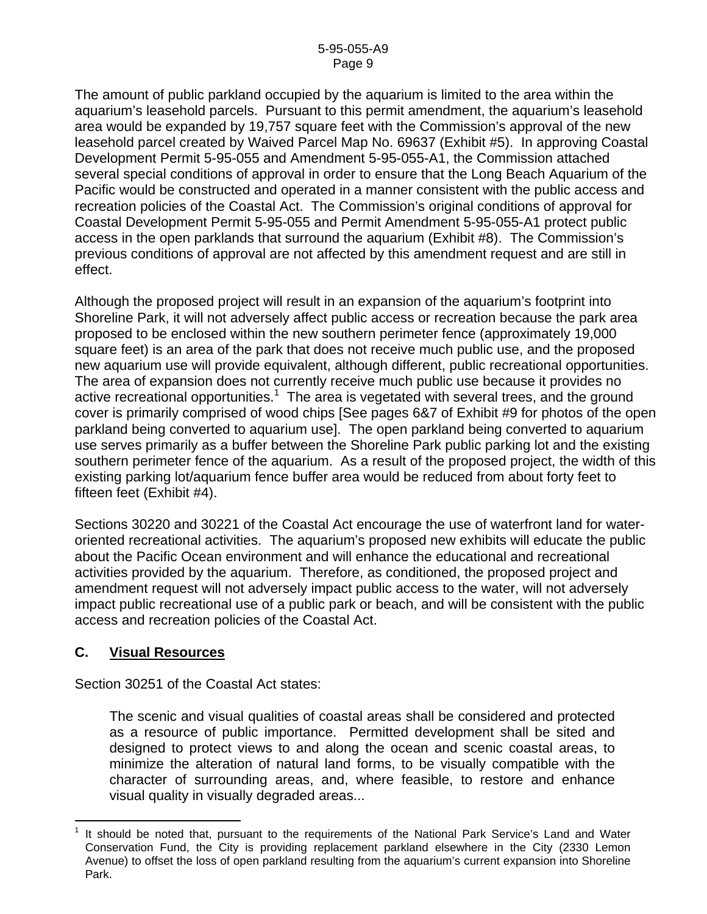The amount of public parkland occupied by the aquarium is limited to the area within the aquarium's leasehold parcels. Pursuant to this permit amendment, the aquarium's leasehold area would be expanded by 19,757 square feet with the Commission's approval of the new leasehold parcel created by Waived Parcel Map No. 69637 (Exhibit #5). In approving Coastal Development Permit 5-95-055 and Amendment 5-95-055-A1, the Commission attached several special conditions of approval in order to ensure that the Long Beach Aquarium of the Pacific would be constructed and operated in a manner consistent with the public access and recreation policies of the Coastal Act. The Commission's original conditions of approval for Coastal Development Permit 5-95-055 and Permit Amendment 5-95-055-A1 protect public access in the open parklands that surround the aquarium (Exhibit #8). The Commission's previous conditions of approval are not affected by this amendment request and are still in effect.

Although the proposed project will result in an expansion of the aquarium's footprint into Shoreline Park, it will not adversely affect public access or recreation because the park area proposed to be enclosed within the new southern perimeter fence (approximately 19,000 square feet) is an area of the park that does not receive much public use, and the proposed new aquarium use will provide equivalent, although different, public recreational opportunities. The area of expansion does not currently receive much public use because it provides no active recreational opportunities.<sup>1</sup> The area is vegetated with several trees, and the ground cover is primarily comprised of wood chips [See pages 6&7 of Exhibit #9 for photos of the open parkland being converted to aquarium use]. The open parkland being converted to aquarium use serves primarily as a buffer between the Shoreline Park public parking lot and the existing southern perimeter fence of the aquarium. As a result of the proposed project, the width of this existing parking lot/aquarium fence buffer area would be reduced from about forty feet to fifteen feet (Exhibit #4).

Sections 30220 and 30221 of the Coastal Act encourage the use of waterfront land for wateroriented recreational activities. The aquarium's proposed new exhibits will educate the public about the Pacific Ocean environment and will enhance the educational and recreational activities provided by the aquarium. Therefore, as conditioned, the proposed project and amendment request will not adversely impact public access to the water, will not adversely impact public recreational use of a public park or beach, and will be consistent with the public access and recreation policies of the Coastal Act.

# **C. Visual Resources**

Section 30251 of the Coastal Act states:

 The scenic and visual qualities of coastal areas shall be considered and protected as a resource of public importance. Permitted development shall be sited and designed to protect views to and along the ocean and scenic coastal areas, to minimize the alteration of natural land forms, to be visually compatible with the character of surrounding areas, and, where feasible, to restore and enhance visual quality in visually degraded areas...

 $\overline{a}$ 1 It should be noted that, pursuant to the requirements of the National Park Service's Land and Water Conservation Fund, the City is providing replacement parkland elsewhere in the City (2330 Lemon Avenue) to offset the loss of open parkland resulting from the aquarium's current expansion into Shoreline Park.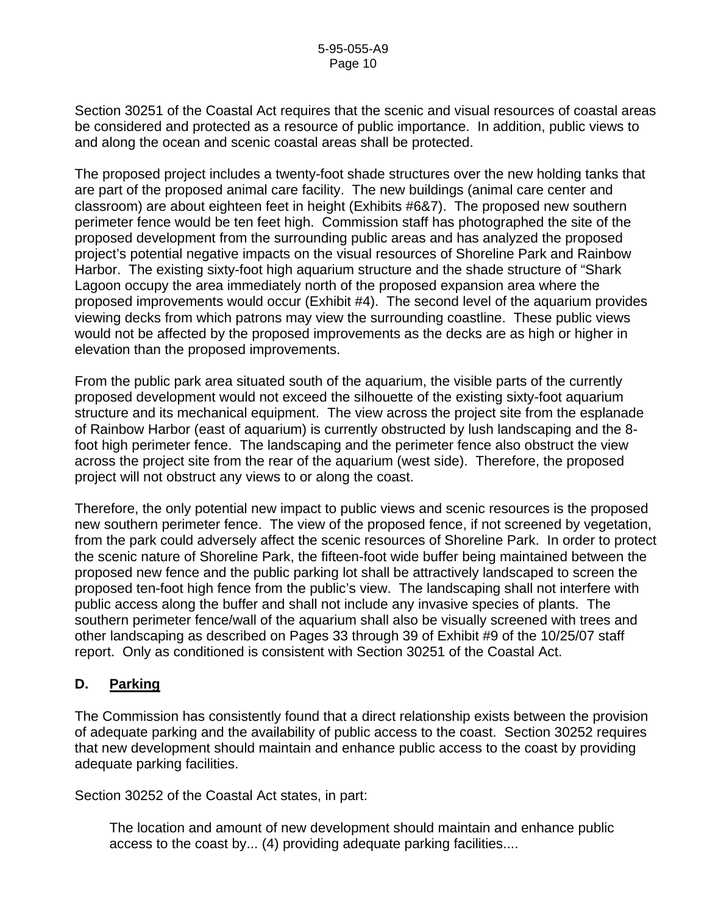Section 30251 of the Coastal Act requires that the scenic and visual resources of coastal areas be considered and protected as a resource of public importance. In addition, public views to and along the ocean and scenic coastal areas shall be protected.

The proposed project includes a twenty-foot shade structures over the new holding tanks that are part of the proposed animal care facility. The new buildings (animal care center and classroom) are about eighteen feet in height (Exhibits #6&7). The proposed new southern perimeter fence would be ten feet high. Commission staff has photographed the site of the proposed development from the surrounding public areas and has analyzed the proposed project's potential negative impacts on the visual resources of Shoreline Park and Rainbow Harbor. The existing sixty-foot high aquarium structure and the shade structure of "Shark Lagoon occupy the area immediately north of the proposed expansion area where the proposed improvements would occur (Exhibit #4). The second level of the aquarium provides viewing decks from which patrons may view the surrounding coastline. These public views would not be affected by the proposed improvements as the decks are as high or higher in elevation than the proposed improvements.

From the public park area situated south of the aquarium, the visible parts of the currently proposed development would not exceed the silhouette of the existing sixty-foot aquarium structure and its mechanical equipment. The view across the project site from the esplanade of Rainbow Harbor (east of aquarium) is currently obstructed by lush landscaping and the 8 foot high perimeter fence. The landscaping and the perimeter fence also obstruct the view across the project site from the rear of the aquarium (west side). Therefore, the proposed project will not obstruct any views to or along the coast.

Therefore, the only potential new impact to public views and scenic resources is the proposed new southern perimeter fence. The view of the proposed fence, if not screened by vegetation, from the park could adversely affect the scenic resources of Shoreline Park. In order to protect the scenic nature of Shoreline Park, the fifteen-foot wide buffer being maintained between the proposed new fence and the public parking lot shall be attractively landscaped to screen the proposed ten-foot high fence from the public's view. The landscaping shall not interfere with public access along the buffer and shall not include any invasive species of plants. The southern perimeter fence/wall of the aquarium shall also be visually screened with trees and other landscaping as described on Pages 33 through 39 of Exhibit #9 of the 10/25/07 staff report. Only as conditioned is consistent with Section 30251 of the Coastal Act.

# **D. Parking**

The Commission has consistently found that a direct relationship exists between the provision of adequate parking and the availability of public access to the coast. Section 30252 requires that new development should maintain and enhance public access to the coast by providing adequate parking facilities.

Section 30252 of the Coastal Act states, in part:

 The location and amount of new development should maintain and enhance public access to the coast by... (4) providing adequate parking facilities....